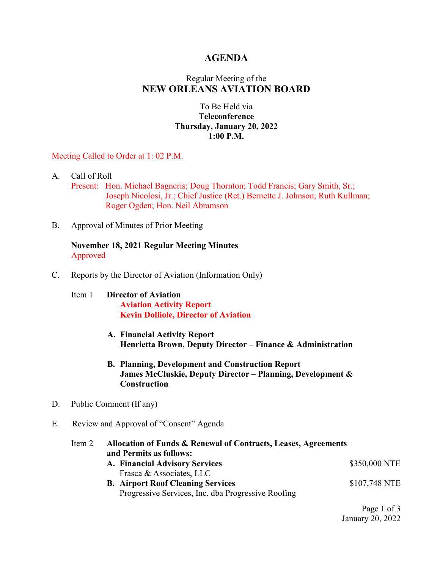## **AGENDA**

# Regular Meeting of the **NEW ORLEANS AVIATION BOARD**

### To Be Held via **Teleconference Thursday, January 20, 2022 1:00 P.M.**

Meeting Called to Order at 1: 02 P.M.

- A. Call of Roll Present: Hon. Michael Bagneris; Doug Thornton; Todd Francis; Gary Smith, Sr.; Joseph Nicolosi, Jr.; Chief Justice (Ret.) Bernette J. Johnson; Ruth Kullman; Roger Ogden; Hon. Neil Abramson
- B. Approval of Minutes of Prior Meeting

**November 18, 2021 Regular Meeting Minutes** Approved

- C. Reports by the Director of Aviation (Information Only)
	- Item 1 **Director of Aviation Aviation Activity Report Kevin Dolliole, Director of Aviation**
		- **A. Financial Activity Report Henrietta Brown, Deputy Director – Finance & Administration**
		- **B. Planning, Development and Construction Report James McCluskie, Deputy Director – Planning, Development & Construction**
- D. Public Comment (If any)
- E. Review and Approval of "Consent" Agenda

| Item 2 | Allocation of Funds & Renewal of Contracts, Leases, Agreements |               |  |  |
|--------|----------------------------------------------------------------|---------------|--|--|
|        | and Permits as follows:                                        |               |  |  |
|        | A. Financial Advisory Services                                 | \$350,000 NTE |  |  |
|        | Frasca & Associates, LLC                                       |               |  |  |
|        | <b>B.</b> Airport Roof Cleaning Services                       | \$107,748 NTE |  |  |
|        | Progressive Services, Inc. dba Progressive Roofing             |               |  |  |
|        |                                                                |               |  |  |

Page 1 of 3 January 20, 2022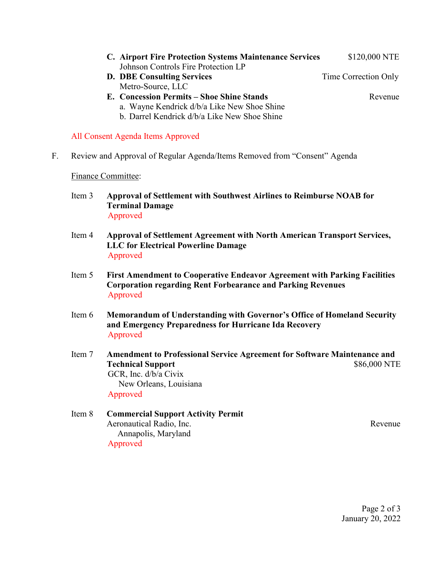- **C. Airport Fire Protection Systems Maintenance Services** \$120,000 NTE Johnson Controls Fire Protection LP
- **D. DBE Consulting Services** Time Correction Only Metro-Source, LLC
- **E. Concession Permits – Shoe Shine Stands** Revenue
	- a. Wayne Kendrick d/b/a Like New Shoe Shine
	- b. Darrel Kendrick d/b/a Like New Shoe Shine

#### All Consent Agenda Items Approved

F. Review and Approval of Regular Agenda/Items Removed from "Consent" Agenda

#### Finance Committee:

- Item 3 **Approval of Settlement with Southwest Airlines to Reimburse NOAB for Terminal Damage** Approved
- Item 4 **Approval of Settlement Agreement with North American Transport Services, LLC for Electrical Powerline Damage** Approved
- Item 5 **First Amendment to Cooperative Endeavor Agreement with Parking Facilities Corporation regarding Rent Forbearance and Parking Revenues** Approved
- Item 6 **Memorandum of Understanding with Governor's Office of Homeland Security and Emergency Preparedness for Hurricane Ida Recovery** Approved
- Item 7 **Amendment to Professional Service Agreement for Software Maintenance and Technical Support** \$86,000 NTE GCR, Inc. d/b/a Civix New Orleans, Louisiana Approved
- Item 8 **Commercial Support Activity Permit** Aeronautical Radio, Inc. **Revenue** Revenue Revenue Revenue Revenue Revenue Revenue Revenue Revenue Revenue Revenue Annapolis, Maryland Approved

Page 2 of 3 January 20, 2022